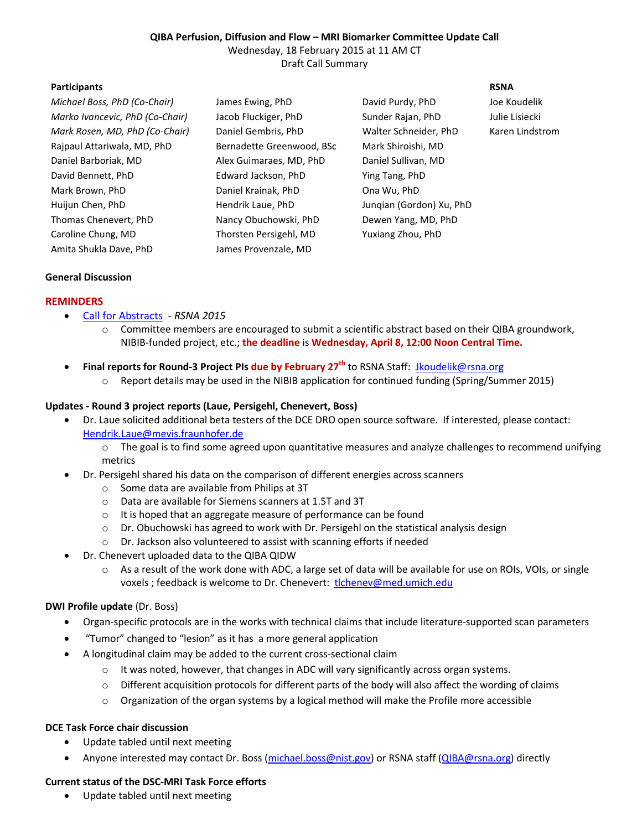#### **QIBA Perfusion, Diffusion and Flow – MRI Biomarker Committee Update Call**  Wednesday, 18 February 2015 at 11 AM CT Draft Call Summary

#### **Participants** RSNA

| Michael Boss, PhD (Co-Chair)    | James I  |
|---------------------------------|----------|
| Marko Ivancevic, PhD (Co-Chair) | Jacob F  |
| Mark Rosen, MD, PhD (Co-Chair)  | Daniel   |
| Rajpaul Attariwala, MD, PhD     | Bernad   |
| Daniel Barboriak. MD            | Alex Gu  |
| David Bennett, PhD              | Edward   |
| Mark Brown, PhD                 | Daniel I |
| Huijun Chen, PhD                | Hendril  |
| Thomas Chenevert, PhD           | Nancy (  |
| Caroline Chung, MD              | Thorste  |
| Amita Shukla Dave, PhD          | James F  |

lette Greenwood, BSc Mark Shiroishi, MD Daniel Barboriak, MD Alex Guimaraes, MD, PhD Daniel Sullivan, MD d Jackson, PhD **Ease Ying Tang, PhD** Krainak, PhD **Daniel Brown, PhD** en Persigehl, MD Yuxiang Zhou, PhD Provenzale, MD

*Michael Boss, PhD (Co-Chair)* James Ewing, PhD David Purdy, PhD Joe Koudelik *Marko Ivancevic, PhD (Co-Chair)* Jacob Fluckiger, PhD Sunder Rajan, PhD Julie Lisiecki *Mark Rosen, MD, PhD (Co-Chair)* Daniel Gembris, PhD Walter Schneider, PhD Karen Lindstrom k Laue, PhD **Hendrik Laue, PhD** Junqian (Gordon) Xu, PhD Obuchowski, PhD Dewen Yang, MD, PhD

# **General Discussion**

## **REMINDERS**

- Call for Abstracts *RSNA 2015*
	- o Committee members are encouraged to submit a scientific abstract based on their QIBA groundwork, NIBIB-funded project, etc.; **the deadline** is **Wednesday, April 8, 12:00 Noon Central Time.**
- **Final reports for Round-3 Project PIs due by February 27th** to RSNA Staff:Jkoudelik@rsna.org
	- o Report details may be used in the NIBIB application for continued funding (Spring/Summer 2015)

## **Updates - Round 3 project reports (Laue, Persigehl, Chenevert, Boss)**

- Dr. Laue solicited additional beta testers of the DCE DRO open source software. If interested, please contact: Hendrik.Laue@mevis.fraunhofer.de
	- o The goal is to find some agreed upon quantitative measures and analyze challenges to recommend unifying metrics
- Dr. Persigehl shared his data on the comparison of different energies across scanners
	- o Some data are available from Philips at 3T
	- o Data are available for Siemens scanners at 1.5T and 3T
	- o It is hoped that an aggregate measure of performance can be found
	- $\circ$  Dr. Obuchowski has agreed to work with Dr. Persigehl on the statistical analysis design
	- o Dr. Jackson also volunteered to assist with scanning efforts if needed
- Dr. Chenevert uploaded data to the QIBA QIDW
	- o As a result of the work done with ADC, a large set of data will be available for use on ROIs, VOIs, or single voxels ; feedback is welcome to Dr. Chenevert: tlchenev@med.umich.edu

## **DWI Profile update** (Dr. Boss)

- Organ-specific protocols are in the works with technical claims that include literature-supported scan parameters
- "Tumor" changed to "lesion" as it has a more general application
- A longitudinal claim may be added to the current cross-sectional claim
	- $\circ$  It was noted, however, that changes in ADC will vary significantly across organ systems.
	- o Different acquisition protocols for different parts of the body will also affect the wording of claims
	- o Organization of the organ systems by a logical method will make the Profile more accessible

# **DCE Task Force chair discussion**

- Update tabled until next meeting
- Anyone interested may contact Dr. Boss (michael.boss@nist.gov) or RSNA staff (QIBA@rsna.org) directly

# **Current status of the DSC-MRI Task Force efforts**

• Update tabled until next meeting